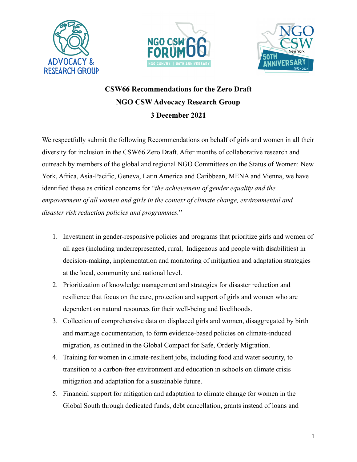





## **CSW66 Recommendations for the Zero Draft NGO CSW Advocacy Research Group 3 December 2021**

We respectfully submit the following Recommendations on behalf of girls and women in all their diversity for inclusion in the CSW66 Zero Draft. After months of collaborative research and outreach by members of the global and regional NGO Committees on the Status of Women: New York, Africa, Asia-Pacific, Geneva, Latin America and Caribbean, MENA and Vienna, we have identified these as critical concerns for "*the achievement of gender equality and the empowerment of all women and girls in the context of climate change, environmental and disaster risk reduction policies and programmes.*"

- 1. Investment in gender-responsive policies and programs that prioritize girls and women of all ages (including underrepresented, rural, Indigenous and people with disabilities) in decision-making, implementation and monitoring of mitigation and adaptation strategies at the local, community and national level.
- 2. Prioritization of knowledge management and strategies for disaster reduction and resilience that focus on the care, protection and support of girls and women who are dependent on natural resources for their well-being and livelihoods.
- 3. Collection of comprehensive data on displaced girls and women, disaggregated by birth and marriage documentation, to form evidence-based policies on climate-induced migration, as outlined in the Global Compact for Safe, Orderly Migration.
- 4. Training for women in climate-resilient jobs, including food and water security, to transition to a carbon-free environment and education in schools on climate crisis mitigation and adaptation for a sustainable future.
- 5. Financial support for mitigation and adaptation to climate change for women in the Global South through dedicated funds, debt cancellation, grants instead of loans and